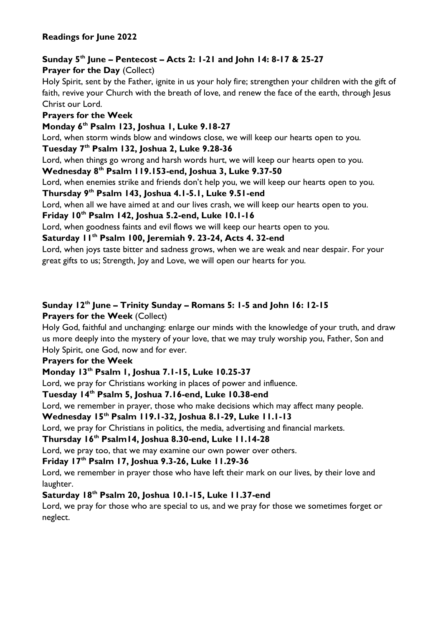# **Sunday 5 th June – Pentecost – Acts 2: 1-21 and John 14: 8-17 & 25-27**

### **Prayer for the Day** (Collect)

Holy Spirit, sent by the Father, ignite in us your holy fire; strengthen your children with the gift of faith, revive your Church with the breath of love, and renew the face of the earth, through Jesus Christ our Lord.

### **Prayers for the Week**

#### **Monday 6th Psalm 123, Joshua 1, Luke 9.18-27**

Lord, when storm winds blow and windows close, we will keep our hearts open to you.

#### **Tuesday 7th Psalm 132, Joshua 2, Luke 9.28-36**

Lord, when things go wrong and harsh words hurt, we will keep our hearts open to you.

#### **Wednesday 8th Psalm 119.153-end, Joshua 3, Luke 9.37-50**

Lord, when enemies strike and friends don't help you, we will keep our hearts open to you.

#### **Thursday 9th Psalm 143, Joshua 4.1-5.1, Luke 9.51-end**

Lord, when all we have aimed at and our lives crash, we will keep our hearts open to you.

# **Friday 10 th Psalm 142, Joshua 5.2-end, Luke 10.1-16**

Lord, when goodness faints and evil flows we will keep our hearts open to you.

### **Saturday 11 th Psalm 100, Jeremiah 9. 23-24, Acts 4. 32-end**

Lord, when joys taste bitter and sadness grows, when we are weak and near despair. For your great gifts to us; Strength, Joy and Love, we will open our hearts for you.

# **Sunday 12 th June – Trinity Sunday – Romans 5: 1-5 and John 16: 12-15**

### **Prayers for the Week** (Collect)

Holy God, faithful and unchanging: enlarge our minds with the knowledge of your truth, and draw us more deeply into the mystery of your love, that we may truly worship you, Father, Son and Holy Spirit, one God, now and for ever.

# **Prayers for the Week**

# **Monday 13th Psalm 1, Joshua 7.1-15, Luke 10.25-37**

Lord, we pray for Christians working in places of power and influence.

# **Tuesday 14 th Psalm 5, Joshua 7.16-end, Luke 10.38-end**

Lord, we remember in prayer, those who make decisions which may affect many people.

# **Wednesday 15 th Psalm 119.1-32, Joshua 8.1-29, Luke 11.1-13**

Lord, we pray for Christians in politics, the media, advertising and financial markets.

#### **Thursday 16 th Psalm14, Joshua 8.30-end, Luke 11.14-28**

Lord, we pray too, that we may examine our own power over others.

# **Friday 17 th Psalm 17, Joshua 9.3-26, Luke 11.29-36**

Lord, we remember in prayer those who have left their mark on our lives, by their love and laughter.

# **Saturday 18 th Psalm 20, Joshua 10.1-15, Luke 11.37-end**

Lord, we pray for those who are special to us, and we pray for those we sometimes forget or neglect.